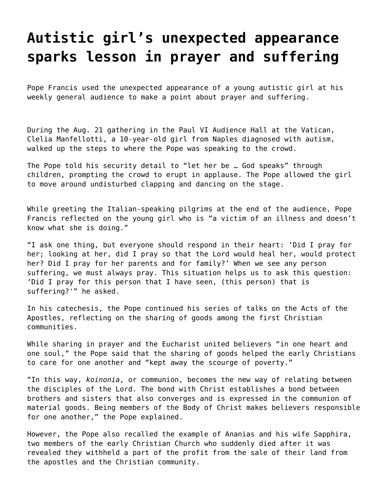## **[Autistic girl's unexpected appearance](https://grandinmedia.ca/autistic-girls-unexpected-appearance-sparks-lesson-in-prayer-and-suffering/) [sparks lesson in prayer and suffering](https://grandinmedia.ca/autistic-girls-unexpected-appearance-sparks-lesson-in-prayer-and-suffering/)**

Pope Francis used the unexpected appearance of a young autistic girl at his weekly general audience to make a point about prayer and suffering.

During the Aug. 21 gathering in the Paul VI Audience Hall at the Vatican, Clelia Manfellotti, a 10-year-old girl from Naples diagnosed with autism, walked up the steps to where the Pope was speaking to the crowd.

The Pope told his security detail to "let her be … God speaks" through children, prompting the crowd to erupt in applause. The Pope allowed the girl to move around undisturbed clapping and dancing on the stage.

While greeting the Italian-speaking pilgrims at the end of the audience, Pope Francis reflected on the young girl who is "a victim of an illness and doesn't know what she is doing."

"I ask one thing, but everyone should respond in their heart: 'Did I pray for her; looking at her, did I pray so that the Lord would heal her, would protect her? Did I pray for her parents and for family?' When we see any person suffering, we must always pray. This situation helps us to ask this question: 'Did I pray for this person that I have seen, (this person) that is suffering?'" he asked.

In his catechesis, the Pope continued his series of talks on the Acts of the Apostles, reflecting on the sharing of goods among the first Christian communities.

While sharing in prayer and the Eucharist united believers "in one heart and one soul," the Pope said that the sharing of goods helped the early Christians to care for one another and "kept away the scourge of poverty."

"In this way, *koinonia*, or communion, becomes the new way of relating between the disciples of the Lord. The bond with Christ establishes a bond between brothers and sisters that also converges and is expressed in the communion of material goods. Being members of the Body of Christ makes believers responsible for one another," the Pope explained.

However, the Pope also recalled the example of Ananias and his wife Sapphira, two members of the early Christian Church who suddenly died after it was revealed they withheld a part of the profit from the sale of their land from the apostles and the Christian community.